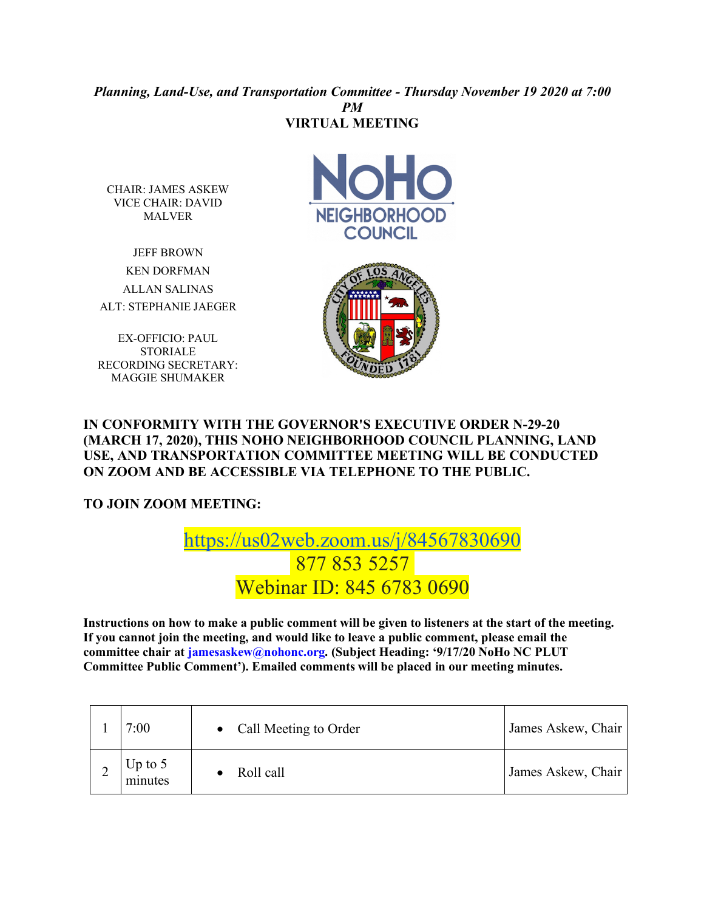## *Planning, Land-Use, and Transportation Committee - Thursday November 19 2020 at 7:00 PM* **VIRTUAL MEETING**

CHAIR: JAMES ASKEW VICE CHAIR: DAVID MALVER

JEFF BROWN KEN DORFMAN ALLAN SALINAS ALT: STEPHANIE JAEGER

EX-OFFICIO: PAUL STORIALE RECORDING SECRETARY: MAGGIE SHUMAKER





## **IN CONFORMITY WITH THE GOVERNOR'S EXECUTIVE ORDER N-29-20 (MARCH 17, 2020), THIS NOHO NEIGHBORHOOD COUNCIL PLANNING, LAND USE, AND TRANSPORTATION COMMITTEE MEETING WILL BE CONDUCTED ON ZOOM AND BE ACCESSIBLE VIA TELEPHONE TO THE PUBLIC.**

**TO JOIN ZOOM MEETING:** 

## https://us02web.zoom.us/j/84567830690 877 853 5257 Webinar ID: 845 6783 0690

**Instructions on how to make a public comment will be given to listeners at the start of the meeting. If you cannot join the meeting, and would like to leave a public comment, please email the committee chair at jamesaskew@nohonc.org. (Subject Heading: '9/17/20 NoHo NC PLUT Committee Public Comment'). Emailed comments will be placed in our meeting minutes.** 

| 7:00                 | Call Meeting to Order<br>$\bullet$ | James Askew, Chair |
|----------------------|------------------------------------|--------------------|
| Up to $5$<br>minutes | Roll call                          | James Askew, Chair |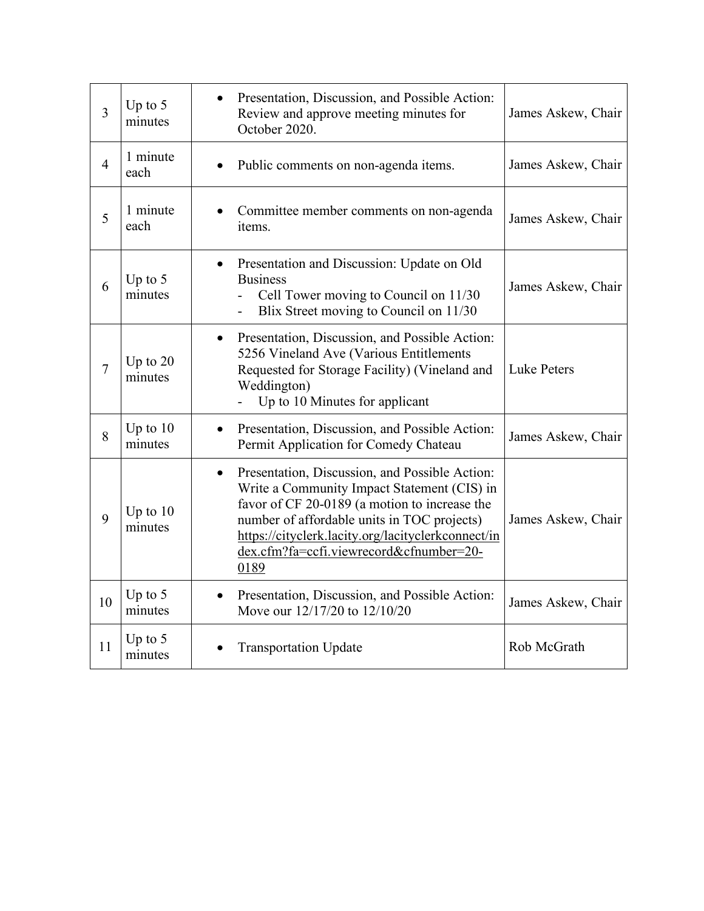| 3              | Up to $5$<br>minutes  | Presentation, Discussion, and Possible Action:<br>Review and approve meeting minutes for<br>October 2020.                                                                                                                                                                                                           | James Askew, Chair |
|----------------|-----------------------|---------------------------------------------------------------------------------------------------------------------------------------------------------------------------------------------------------------------------------------------------------------------------------------------------------------------|--------------------|
| $\overline{4}$ | 1 minute<br>each      | Public comments on non-agenda items.                                                                                                                                                                                                                                                                                | James Askew, Chair |
| 5              | 1 minute<br>each      | Committee member comments on non-agenda<br>items.                                                                                                                                                                                                                                                                   | James Askew, Chair |
| 6              | Up to $5$<br>minutes  | Presentation and Discussion: Update on Old<br><b>Business</b><br>Cell Tower moving to Council on 11/30<br>Blix Street moving to Council on 11/30                                                                                                                                                                    | James Askew, Chair |
| $\overline{7}$ | Up to $20$<br>minutes | Presentation, Discussion, and Possible Action:<br>$\bullet$<br>5256 Vineland Ave (Various Entitlements<br>Requested for Storage Facility) (Vineland and<br>Weddington)<br>Up to 10 Minutes for applicant                                                                                                            | <b>Luke Peters</b> |
| 8              | Up to $10$<br>minutes | Presentation, Discussion, and Possible Action:<br>$\bullet$<br>Permit Application for Comedy Chateau                                                                                                                                                                                                                | James Askew, Chair |
| 9              | Up to $10$<br>minutes | Presentation, Discussion, and Possible Action:<br>$\bullet$<br>Write a Community Impact Statement (CIS) in<br>favor of CF 20-0189 (a motion to increase the<br>number of affordable units in TOC projects)<br>https://cityclerk.lacity.org/lacityclerkconnect/in<br>dex.cfm?fa=ccfi.viewrecord&cfnumber=20-<br>0189 | James Askew, Chair |
| 10             | Up to $5$<br>minutes  | Presentation, Discussion, and Possible Action:<br>Move our 12/17/20 to 12/10/20                                                                                                                                                                                                                                     | James Askew, Chair |
| 11             | Up to $5$<br>minutes  | <b>Transportation Update</b>                                                                                                                                                                                                                                                                                        | Rob McGrath        |